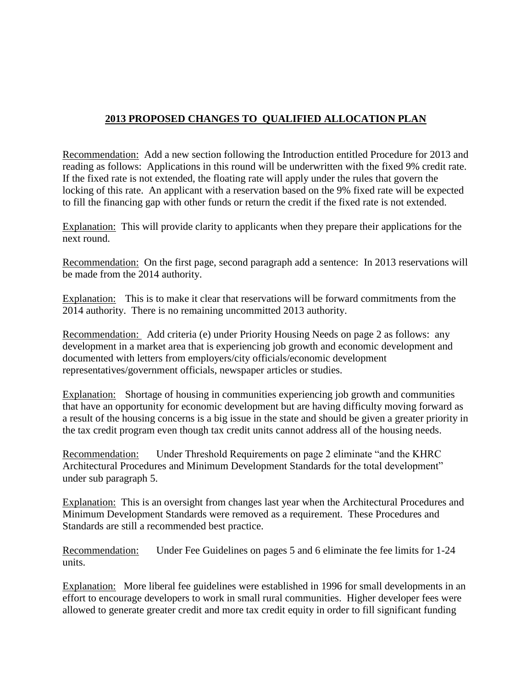## **2013 PROPOSED CHANGES TO QUALIFIED ALLOCATION PLAN**

Recommendation: Add a new section following the Introduction entitled Procedure for 2013 and reading as follows: Applications in this round will be underwritten with the fixed 9% credit rate. If the fixed rate is not extended, the floating rate will apply under the rules that govern the locking of this rate. An applicant with a reservation based on the 9% fixed rate will be expected to fill the financing gap with other funds or return the credit if the fixed rate is not extended.

Explanation: This will provide clarity to applicants when they prepare their applications for the next round.

Recommendation: On the first page, second paragraph add a sentence: In 2013 reservations will be made from the 2014 authority.

Explanation: This is to make it clear that reservations will be forward commitments from the 2014 authority. There is no remaining uncommitted 2013 authority.

Recommendation: Add criteria (e) under Priority Housing Needs on page 2 as follows: any development in a market area that is experiencing job growth and economic development and documented with letters from employers/city officials/economic development representatives/government officials, newspaper articles or studies.

Explanation: Shortage of housing in communities experiencing job growth and communities that have an opportunity for economic development but are having difficulty moving forward as a result of the housing concerns is a big issue in the state and should be given a greater priority in the tax credit program even though tax credit units cannot address all of the housing needs.

Recommendation: Under Threshold Requirements on page 2 eliminate "and the KHRC Architectural Procedures and Minimum Development Standards for the total development" under sub paragraph 5.

Explanation: This is an oversight from changes last year when the Architectural Procedures and Minimum Development Standards were removed as a requirement. These Procedures and Standards are still a recommended best practice.

Recommendation: Under Fee Guidelines on pages 5 and 6 eliminate the fee limits for 1-24 units.

Explanation: More liberal fee guidelines were established in 1996 for small developments in an effort to encourage developers to work in small rural communities. Higher developer fees were allowed to generate greater credit and more tax credit equity in order to fill significant funding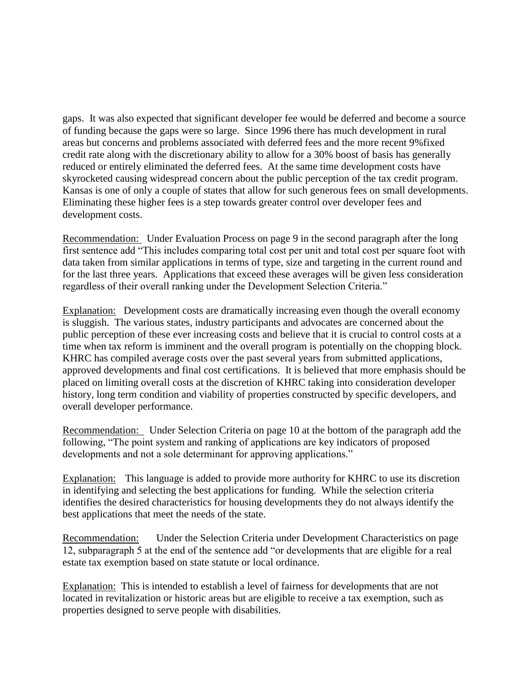gaps. It was also expected that significant developer fee would be deferred and become a source of funding because the gaps were so large. Since 1996 there has much development in rural areas but concerns and problems associated with deferred fees and the more recent 9%fixed credit rate along with the discretionary ability to allow for a 30% boost of basis has generally reduced or entirely eliminated the deferred fees. At the same time development costs have skyrocketed causing widespread concern about the public perception of the tax credit program. Kansas is one of only a couple of states that allow for such generous fees on small developments. Eliminating these higher fees is a step towards greater control over developer fees and development costs.

Recommendation: Under Evaluation Process on page 9 in the second paragraph after the long first sentence add "This includes comparing total cost per unit and total cost per square foot with data taken from similar applications in terms of type, size and targeting in the current round and for the last three years. Applications that exceed these averages will be given less consideration regardless of their overall ranking under the Development Selection Criteria."

Explanation: Development costs are dramatically increasing even though the overall economy is sluggish. The various states, industry participants and advocates are concerned about the public perception of these ever increasing costs and believe that it is crucial to control costs at a time when tax reform is imminent and the overall program is potentially on the chopping block. KHRC has compiled average costs over the past several years from submitted applications, approved developments and final cost certifications. It is believed that more emphasis should be placed on limiting overall costs at the discretion of KHRC taking into consideration developer history, long term condition and viability of properties constructed by specific developers, and overall developer performance.

Recommendation: Under Selection Criteria on page 10 at the bottom of the paragraph add the following, "The point system and ranking of applications are key indicators of proposed developments and not a sole determinant for approving applications."

Explanation: This language is added to provide more authority for KHRC to use its discretion in identifying and selecting the best applications for funding. While the selection criteria identifies the desired characteristics for housing developments they do not always identify the best applications that meet the needs of the state.

Recommendation: Under the Selection Criteria under Development Characteristics on page 12, subparagraph 5 at the end of the sentence add "or developments that are eligible for a real estate tax exemption based on state statute or local ordinance.

Explanation: This is intended to establish a level of fairness for developments that are not located in revitalization or historic areas but are eligible to receive a tax exemption, such as properties designed to serve people with disabilities.